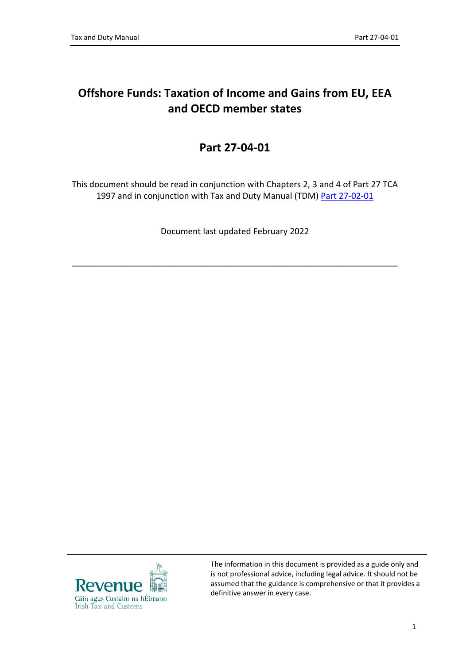# **Offshore Funds: Taxation of Income and Gains from EU, EEA and OECD member states**

# **Part 27-04-01**

This document should be read in conjunction with Chapters 2, 3 and 4 of Part 27 TCA 1997 and in conjunction with Tax and Duty Manual (TDM) [Part](http://www.revenue.ie/en/tax-professionals/tdm/income-tax-capital-gains-tax-corporation-tax/part-27/27-02-01.pdf) [27-02-01](http://www.revenue.ie/en/tax-professionals/tdm/income-tax-capital-gains-tax-corporation-tax/part-27/27-02-01.pdf)

Document last updated February 2022

\_\_\_\_\_\_\_\_\_\_\_\_\_\_\_\_\_\_\_\_\_\_\_\_\_\_\_\_\_\_\_\_\_\_\_\_\_\_\_\_\_\_\_\_\_\_\_\_\_\_\_\_\_\_\_\_\_\_\_\_\_\_\_\_\_\_\_\_\_



The information in this document is provided as a guide only and is not professional advice, including legal advice. It should not be assumed that the guidance is comprehensive or that it provides a definitive answer in every case.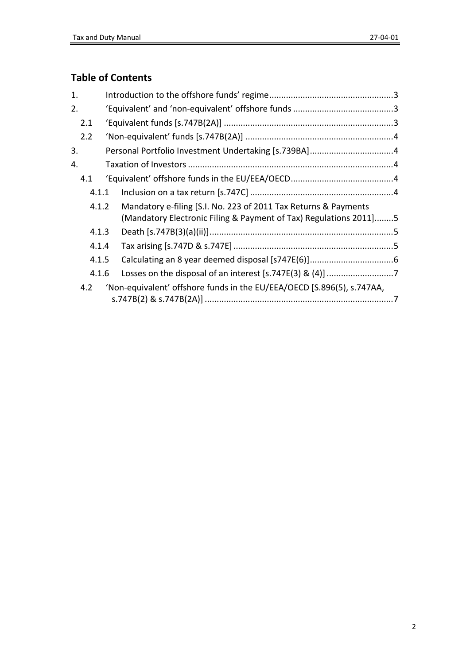# **Table of Contents**

| 1. |                                                                               |  |                                                                                                                                      |  |  |  |
|----|-------------------------------------------------------------------------------|--|--------------------------------------------------------------------------------------------------------------------------------------|--|--|--|
| 2. |                                                                               |  |                                                                                                                                      |  |  |  |
|    | 2.1                                                                           |  |                                                                                                                                      |  |  |  |
|    | 2.2                                                                           |  |                                                                                                                                      |  |  |  |
| 3. |                                                                               |  | Personal Portfolio Investment Undertaking [s.739BA]4                                                                                 |  |  |  |
| 4. |                                                                               |  |                                                                                                                                      |  |  |  |
|    | 4.1                                                                           |  |                                                                                                                                      |  |  |  |
|    | 4.1.1                                                                         |  |                                                                                                                                      |  |  |  |
|    | 4.1.2                                                                         |  | Mandatory e-filing [S.I. No. 223 of 2011 Tax Returns & Payments<br>(Mandatory Electronic Filing & Payment of Tax) Regulations 2011]5 |  |  |  |
|    | 4.1.3                                                                         |  |                                                                                                                                      |  |  |  |
|    | 4.1.4                                                                         |  |                                                                                                                                      |  |  |  |
|    | 4.1.5                                                                         |  |                                                                                                                                      |  |  |  |
|    | 4.1.6                                                                         |  |                                                                                                                                      |  |  |  |
|    | 'Non-equivalent' offshore funds in the EU/EEA/OECD [S.896(5), s.747AA,<br>4.2 |  |                                                                                                                                      |  |  |  |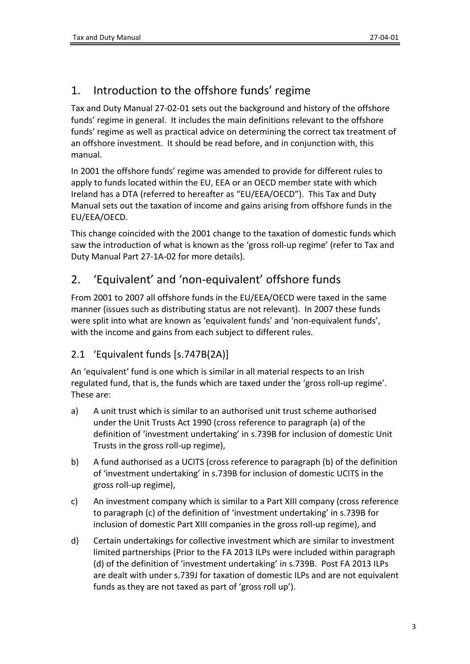# <span id="page-2-0"></span>1. Introduction to the offshore funds' regime

Tax and Duty Manual 27-02-01 sets out the background and history of the offshore funds' regime in general. It includes the main definitions relevant to the offshore funds' regime as well as practical advice on determining the correct tax treatment of an offshore investment. It should be read before, and in conjunction with, this manual.

In 2001 the offshore funds' regime was amended to provide for different rules to apply to funds located within the EU, EEA or an OECD member state with which Ireland has a DTA (referred to hereafter as "EU/EEA/OECD"). This Tax and Duty Manual sets out the taxation of income and gains arising from offshore funds in the EU/EEA/OECD.

This change coincided with the 2001 change to the taxation of domestic funds which saw the introduction of what is known as the 'gross roll-up regime' (refer to Tax and Duty Manual Part 27-1A-02 for more details).

# <span id="page-2-1"></span>2. 'Equivalent' and 'non-equivalent' offshore funds

From 2001 to 2007 all offshore funds in the EU/EEA/OECD were taxed in the same manner (issues such as distributing status are not relevant). In 2007 these funds were split into what are known as 'equivalent funds' and 'non-equivalent funds', with the income and gains from each subject to different rules.

## <span id="page-2-2"></span>2.1 'Equivalent funds [s.747B(2A)]

An 'equivalent' fund is one which is similar in all material respects to an Irish regulated fund, that is, the funds which are taxed under the 'gross roll-up regime'. These are:

- a) A unit trust which is similar to an authorised unit trust scheme authorised under the Unit Trusts Act 1990 (cross reference to paragraph (a) of the definition of 'investment undertaking' in s.739B for inclusion of domestic Unit Trusts in the gross roll-up regime),
- b) A fund authorised as a UCITS (cross reference to paragraph (b) of the definition of 'investment undertaking' in s.739B for inclusion of domestic UCITS in the gross roll-up regime),
- c) An investment company which is similar to a Part XIII company (cross reference to paragraph (c) of the definition of 'investment undertaking' in s.739B for inclusion of domestic Part XIII companies in the gross roll-up regime), and
- d) Certain undertakings for collective investment which are similar to investment limited partnerships (Prior to the FA 2013 ILPs were included within paragraph (d) of the definition of 'investment undertaking' in s.739B. Post FA 2013 ILPs are dealt with under s.739J for taxation of domestic ILPs and are not equivalent funds as they are not taxed as part of 'gross roll up').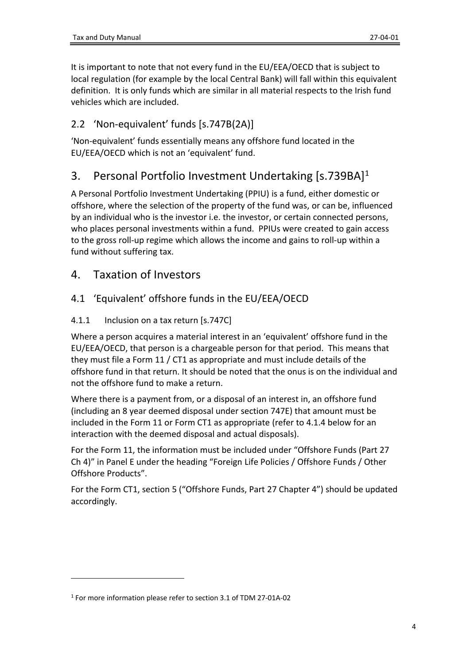It is important to note that not every fund in the EU/EEA/OECD that is subject to local regulation (for example by the local Central Bank) will fall within this equivalent definition. It is only funds which are similar in all material respects to the Irish fund vehicles which are included.

### <span id="page-3-0"></span>2.2 'Non-equivalent' funds [s.747B(2A)]

'Non-equivalent' funds essentially means any offshore fund located in the EU/EEA/OECD which is not an 'equivalent' fund.

# <span id="page-3-1"></span>3. Personal Portfolio Investment Undertaking [s.739BA]<sup>1</sup>

A Personal Portfolio Investment Undertaking (PPIU) is a fund, either domestic or offshore, where the selection of the property of the fund was, or can be, influenced by an individual who is the investor i.e. the investor, or certain connected persons, who places personal investments within a fund. PPIUs were created to gain access to the gross roll-up regime which allows the income and gains to roll-up within a fund without suffering tax.

### <span id="page-3-2"></span>4. Taxation of Investors

### <span id="page-3-3"></span>4.1 'Equivalent' offshore funds in the EU/EEA/OECD

#### <span id="page-3-4"></span>4.1.1 Inclusion on a tax return [s.747C]

Where a person acquires a material interest in an 'equivalent' offshore fund in the EU/EEA/OECD, that person is a chargeable person for that period. This means that they must file a Form 11 / CT1 as appropriate and must include details of the offshore fund in that return. It should be noted that the onus is on the individual and not the offshore fund to make a return.

Where there is a payment from, or a disposal of an interest in, an offshore fund (including an 8 year deemed disposal under section 747E) that amount must be included in the Form 11 or Form CT1 as appropriate (refer to 4.1.4 below for an interaction with the deemed disposal and actual disposals).

For the Form 11, the information must be included under "Offshore Funds (Part 27 Ch 4)" in Panel E under the heading "Foreign Life Policies / Offshore Funds / Other Offshore Products".

For the Form CT1, section 5 ("Offshore Funds, Part 27 Chapter 4") should be updated accordingly.

<sup>1</sup> For more information please refer to section 3.1 of TDM 27-01A-02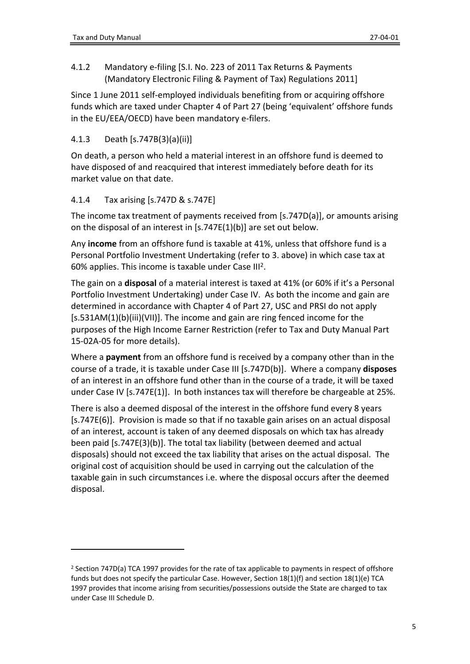<span id="page-4-0"></span>4.1.2 Mandatory e-filing [S.I. No. 223 of 2011 Tax Returns & Payments (Mandatory Electronic Filing & Payment of Tax) Regulations 2011]

Since 1 June 2011 self-employed individuals benefiting from or acquiring offshore funds which are taxed under Chapter 4 of Part 27 (being 'equivalent' offshore funds in the EU/EEA/OECD) have been mandatory e-filers.

### <span id="page-4-1"></span>4.1.3 Death [s.747B(3)(a)(ii)]

On death, a person who held a material interest in an offshore fund is deemed to have disposed of and reacquired that interest immediately before death for its market value on that date.

#### <span id="page-4-2"></span>4.1.4 Tax arising [s.747D & s.747E]

The income tax treatment of payments received from [s.747D(a)], or amounts arising on the disposal of an interest in [s.747E(1)(b)] are set out below.

Any **income** from an offshore fund is taxable at 41%, unless that offshore fund is a Personal Portfolio Investment Undertaking (refer to 3. above) in which case tax at 60% applies. This income is taxable under Case III<sup>2</sup>.

The gain on a **disposal** of a material interest is taxed at 41% (or 60% if it's a Personal Portfolio Investment Undertaking) under Case IV. As both the income and gain are determined in accordance with Chapter 4 of Part 27, USC and PRSI do not apply [s.531AM(1)(b)(iii)(VII)]. The income and gain are ring fenced income for the purposes of the High Income Earner Restriction (refer to Tax and Duty Manual Part 15-02A-05 for more details).

Where a **payment** from an offshore fund is received by a company other than in the course of a trade, it is taxable under Case III [s.747D(b)]. Where a company **disposes** of an interest in an offshore fund other than in the course of a trade, it will be taxed under Case IV [s.747E(1)]. In both instances tax will therefore be chargeable at 25%.

There is also a deemed disposal of the interest in the offshore fund every 8 years [s.747E(6)]. Provision is made so that if no taxable gain arises on an actual disposal of an interest, account is taken of any deemed disposals on which tax has already been paid [s.747E(3)(b)]. The total tax liability (between deemed and actual disposals) should not exceed the tax liability that arises on the actual disposal. The original cost of acquisition should be used in carrying out the calculation of the taxable gain in such circumstances i.e. where the disposal occurs after the deemed disposal.

<sup>2</sup> Section 747D(a) TCA 1997 provides for the rate of tax applicable to payments in respect of offshore funds but does not specify the particular Case. However, Section 18(1)(f) and section 18(1)(e) TCA 1997 provides that income arising from securities/possessions outside the State are charged to tax under Case III Schedule D.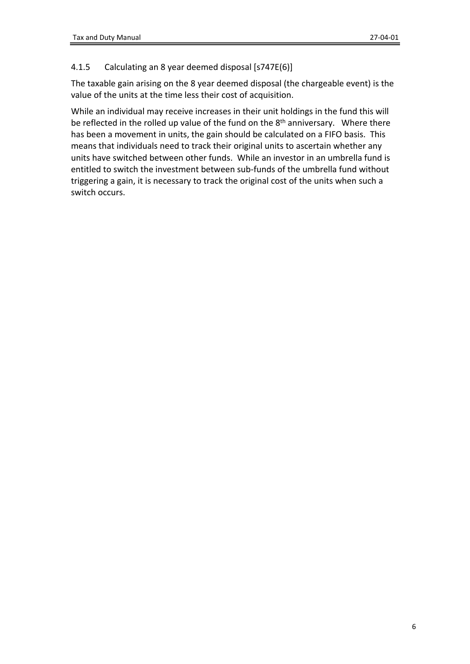#### <span id="page-5-0"></span>4.1.5 Calculating an 8 year deemed disposal [s747E(6)]

The taxable gain arising on the 8 year deemed disposal (the chargeable event) is the value of the units at the time less their cost of acquisition.

While an individual may receive increases in their unit holdings in the fund this will be reflected in the rolled up value of the fund on the 8<sup>th</sup> anniversary. Where there has been a movement in units, the gain should be calculated on a FIFO basis. This means that individuals need to track their original units to ascertain whether any units have switched between other funds. While an investor in an umbrella fund is entitled to switch the investment between sub-funds of the umbrella fund without triggering a gain, it is necessary to track the original cost of the units when such a switch occurs.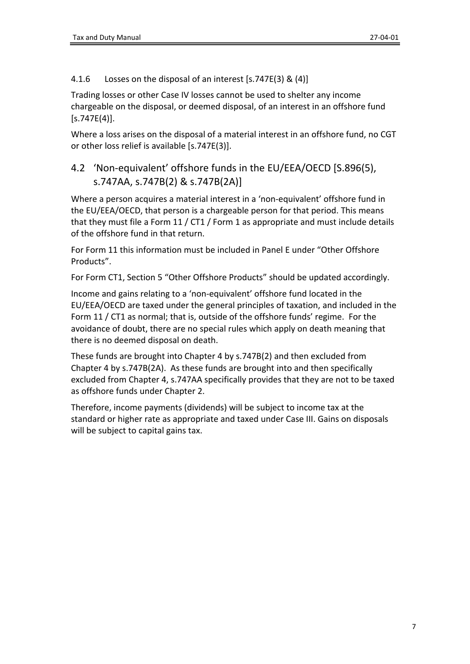<span id="page-6-0"></span>4.1.6 Losses on the disposal of an interest [s.747E(3) & (4)]

Trading losses or other Case IV losses cannot be used to shelter any income chargeable on the disposal, or deemed disposal, of an interest in an offshore fund  $[$ s.747E $(4)$ ].

Where a loss arises on the disposal of a material interest in an offshore fund, no CGT or other loss relief is available [s.747E(3)].

## <span id="page-6-1"></span>4.2 'Non-equivalent' offshore funds in the EU/EEA/OECD [S.896(5), s.747AA, s.747B(2) & s.747B(2A)]

Where a person acquires a material interest in a 'non-equivalent' offshore fund in the EU/EEA/OECD, that person is a chargeable person for that period. This means that they must file a Form 11 / CT1 / Form 1 as appropriate and must include details of the offshore fund in that return.

For Form 11 this information must be included in Panel E under "Other Offshore Products".

For Form CT1, Section 5 "Other Offshore Products" should be updated accordingly.

Income and gains relating to a 'non-equivalent' offshore fund located in the EU/EEA/OECD are taxed under the general principles of taxation, and included in the Form 11 / CT1 as normal; that is, outside of the offshore funds' regime. For the avoidance of doubt, there are no special rules which apply on death meaning that there is no deemed disposal on death.

These funds are brought into Chapter 4 by s.747B(2) and then excluded from Chapter 4 by s.747B(2A). As these funds are brought into and then specifically excluded from Chapter 4, s.747AA specifically provides that they are not to be taxed as offshore funds under Chapter 2.

Therefore, income payments (dividends) will be subject to income tax at the standard or higher rate as appropriate and taxed under Case III. Gains on disposals will be subject to capital gains tax.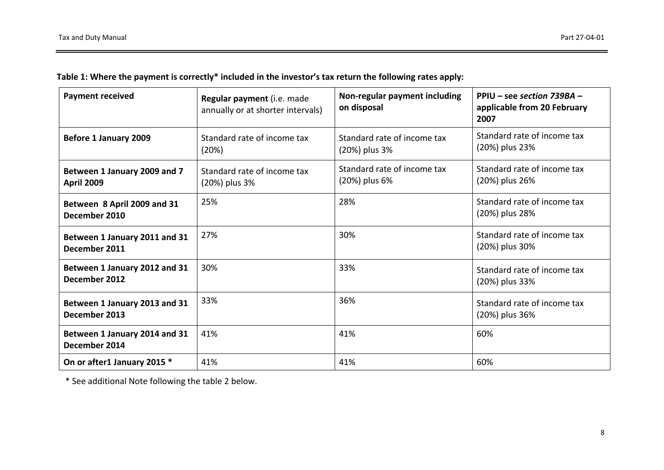|  | Table 1: Where the payment is correctly* included in the investor's tax return the following rates apply: |  |
|--|-----------------------------------------------------------------------------------------------------------|--|
|--|-----------------------------------------------------------------------------------------------------------|--|

| <b>Payment received</b>                           | Regular payment (i.e. made<br>annually or at shorter intervals) | Non-regular payment including<br>on disposal | PPIU – see section 739BA –<br>applicable from 20 February<br>2007 |
|---------------------------------------------------|-----------------------------------------------------------------|----------------------------------------------|-------------------------------------------------------------------|
| Before 1 January 2009                             | Standard rate of income tax<br>(20%)                            | Standard rate of income tax<br>(20%) plus 3% | Standard rate of income tax<br>(20%) plus 23%                     |
| Between 1 January 2009 and 7<br><b>April 2009</b> | Standard rate of income tax<br>(20%) plus 3%                    | Standard rate of income tax<br>(20%) plus 6% | Standard rate of income tax<br>(20%) plus 26%                     |
| Between 8 April 2009 and 31<br>December 2010      | 25%                                                             | 28%                                          | Standard rate of income tax<br>(20%) plus 28%                     |
| Between 1 January 2011 and 31<br>December 2011    | 27%                                                             | 30%                                          | Standard rate of income tax<br>(20%) plus 30%                     |
| Between 1 January 2012 and 31<br>December 2012    | 30%                                                             | 33%                                          | Standard rate of income tax<br>(20%) plus 33%                     |
| Between 1 January 2013 and 31<br>December 2013    | 33%                                                             | 36%                                          | Standard rate of income tax<br>(20%) plus 36%                     |
| Between 1 January 2014 and 31<br>December 2014    | 41%                                                             | 41%                                          | 60%                                                               |
| On or after1 January 2015 *                       | 41%                                                             | 41%                                          | 60%                                                               |

\* See additional Note following the table 2 below.